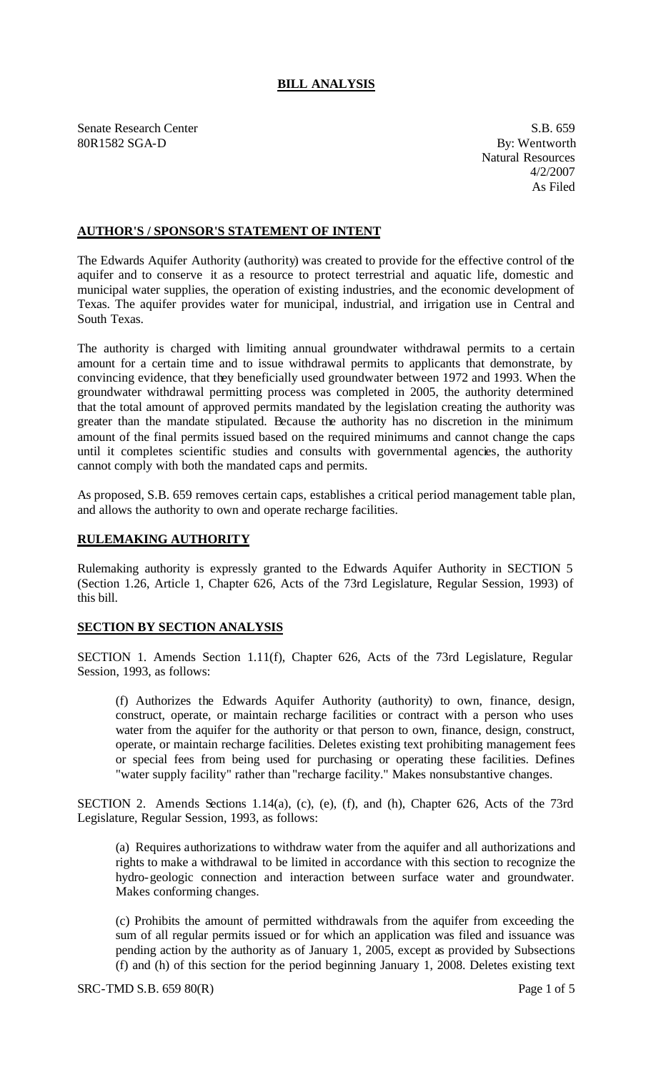## **BILL ANALYSIS**

Senate Research Center S.B. 659 80R1582 SGA-D By: Wentworth

Natural Resources 4/2/2007 As Filed

## **AUTHOR'S / SPONSOR'S STATEMENT OF INTENT**

The Edwards Aquifer Authority (authority) was created to provide for the effective control of the aquifer and to conserve it as a resource to protect terrestrial and aquatic life, domestic and municipal water supplies, the operation of existing industries, and the economic development of Texas. The aquifer provides water for municipal, industrial, and irrigation use in Central and South Texas.

The authority is charged with limiting annual groundwater withdrawal permits to a certain amount for a certain time and to issue withdrawal permits to applicants that demonstrate, by convincing evidence, that they beneficially used groundwater between 1972 and 1993. When the groundwater withdrawal permitting process was completed in 2005, the authority determined that the total amount of approved permits mandated by the legislation creating the authority was greater than the mandate stipulated. Because the authority has no discretion in the minimum amount of the final permits issued based on the required minimums and cannot change the caps until it completes scientific studies and consults with governmental agencies, the authority cannot comply with both the mandated caps and permits.

As proposed, S.B. 659 removes certain caps, establishes a critical period management table plan, and allows the authority to own and operate recharge facilities.

## **RULEMAKING AUTHORITY**

Rulemaking authority is expressly granted to the Edwards Aquifer Authority in SECTION 5 (Section 1.26, Article 1, Chapter 626, Acts of the 73rd Legislature, Regular Session, 1993) of this bill.

## **SECTION BY SECTION ANALYSIS**

SECTION 1. Amends Section 1.11(f), Chapter 626, Acts of the 73rd Legislature, Regular Session, 1993, as follows:

(f) Authorizes the Edwards Aquifer Authority (authority) to own, finance, design, construct, operate, or maintain recharge facilities or contract with a person who uses water from the aquifer for the authority or that person to own, finance, design, construct, operate, or maintain recharge facilities. Deletes existing text prohibiting management fees or special fees from being used for purchasing or operating these facilities. Defines "water supply facility" rather than "recharge facility." Makes nonsubstantive changes.

SECTION 2. Amends Sections 1.14(a), (c), (e), (f), and (h), Chapter 626, Acts of the 73rd Legislature, Regular Session, 1993, as follows:

(a) Requires authorizations to withdraw water from the aquifer and all authorizations and rights to make a withdrawal to be limited in accordance with this section to recognize the hydro-geologic connection and interaction between surface water and groundwater. Makes conforming changes.

(c) Prohibits the amount of permitted withdrawals from the aquifer from exceeding the sum of all regular permits issued or for which an application was filed and issuance was pending action by the authority as of January 1, 2005, except as provided by Subsections (f) and (h) of this section for the period beginning January 1, 2008. Deletes existing text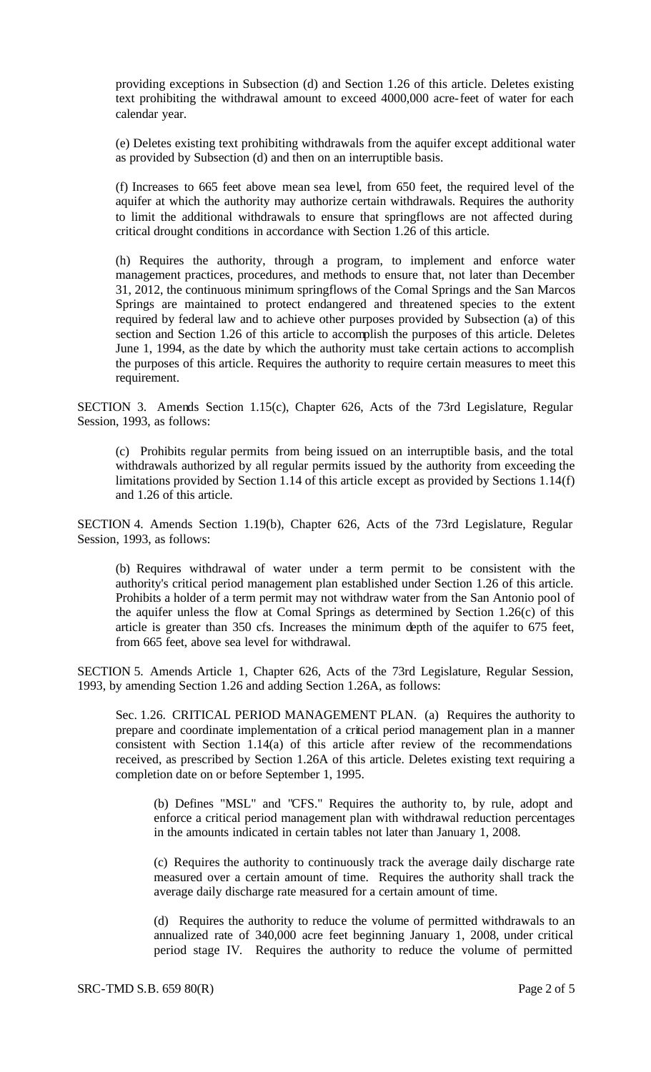providing exceptions in Subsection (d) and Section 1.26 of this article. Deletes existing text prohibiting the withdrawal amount to exceed 4000,000 acre-feet of water for each calendar year.

(e) Deletes existing text prohibiting withdrawals from the aquifer except additional water as provided by Subsection (d) and then on an interruptible basis.

(f) Increases to 665 feet above mean sea level, from 650 feet, the required level of the aquifer at which the authority may authorize certain withdrawals. Requires the authority to limit the additional withdrawals to ensure that springflows are not affected during critical drought conditions in accordance with Section 1.26 of this article.

(h) Requires the authority, through a program, to implement and enforce water management practices, procedures, and methods to ensure that, not later than December 31, 2012, the continuous minimum springflows of the Comal Springs and the San Marcos Springs are maintained to protect endangered and threatened species to the extent required by federal law and to achieve other purposes provided by Subsection (a) of this section and Section 1.26 of this article to accomplish the purposes of this article. Deletes June 1, 1994, as the date by which the authority must take certain actions to accomplish the purposes of this article. Requires the authority to require certain measures to meet this requirement.

SECTION 3. Amends Section 1.15(c), Chapter 626, Acts of the 73rd Legislature, Regular Session, 1993, as follows:

(c) Prohibits regular permits from being issued on an interruptible basis, and the total withdrawals authorized by all regular permits issued by the authority from exceeding the limitations provided by Section 1.14 of this article except as provided by Sections 1.14(f) and 1.26 of this article.

SECTION 4. Amends Section 1.19(b), Chapter 626, Acts of the 73rd Legislature, Regular Session, 1993, as follows:

(b) Requires withdrawal of water under a term permit to be consistent with the authority's critical period management plan established under Section 1.26 of this article. Prohibits a holder of a term permit may not withdraw water from the San Antonio pool of the aquifer unless the flow at Comal Springs as determined by Section 1.26(c) of this article is greater than 350 cfs. Increases the minimum depth of the aquifer to 675 feet, from 665 feet, above sea level for withdrawal.

SECTION 5. Amends Article 1, Chapter 626, Acts of the 73rd Legislature, Regular Session, 1993, by amending Section 1.26 and adding Section 1.26A, as follows:

Sec. 1.26. CRITICAL PERIOD MANAGEMENT PLAN. (a) Requires the authority to prepare and coordinate implementation of a critical period management plan in a manner consistent with Section 1.14(a) of this article after review of the recommendations received, as prescribed by Section 1.26A of this article. Deletes existing text requiring a completion date on or before September 1, 1995.

(b) Defines "MSL" and "CFS." Requires the authority to, by rule, adopt and enforce a critical period management plan with withdrawal reduction percentages in the amounts indicated in certain tables not later than January 1, 2008.

(c) Requires the authority to continuously track the average daily discharge rate measured over a certain amount of time. Requires the authority shall track the average daily discharge rate measured for a certain amount of time.

(d) Requires the authority to reduce the volume of permitted withdrawals to an annualized rate of 340,000 acre feet beginning January 1, 2008, under critical period stage IV. Requires the authority to reduce the volume of permitted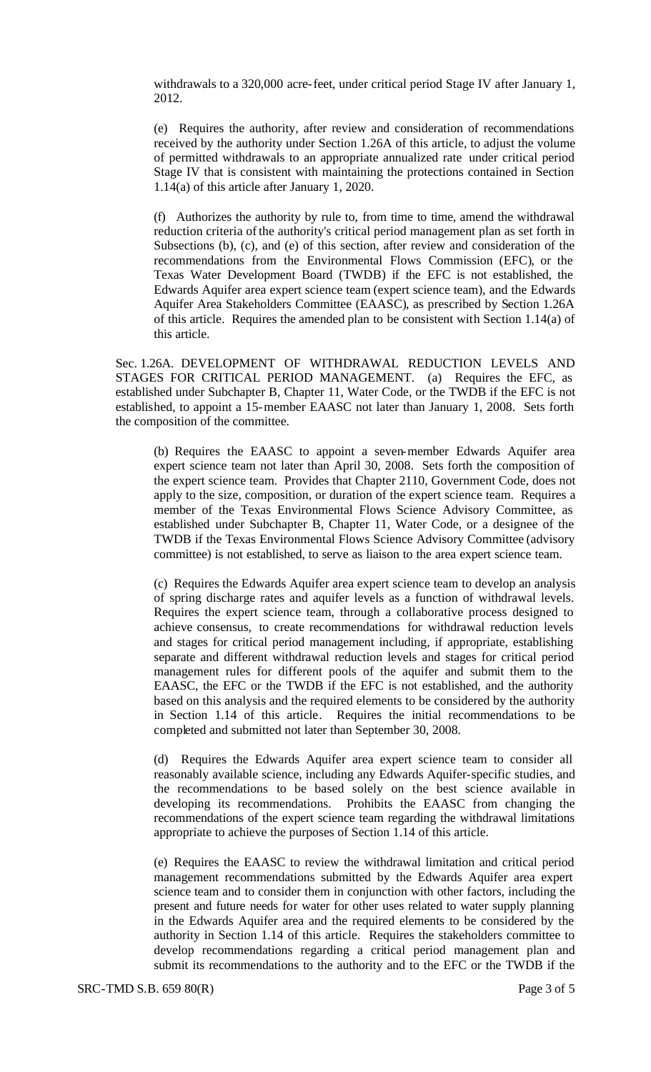withdrawals to a 320,000 acre-feet, under critical period Stage IV after January 1, 2012.

(e) Requires the authority, after review and consideration of recommendations received by the authority under Section 1.26A of this article, to adjust the volume of permitted withdrawals to an appropriate annualized rate under critical period Stage IV that is consistent with maintaining the protections contained in Section 1.14(a) of this article after January 1, 2020.

(f) Authorizes the authority by rule to, from time to time, amend the withdrawal reduction criteria of the authority's critical period management plan as set forth in Subsections (b), (c), and (e) of this section, after review and consideration of the recommendations from the Environmental Flows Commission (EFC), or the Texas Water Development Board (TWDB) if the EFC is not established, the Edwards Aquifer area expert science team (expert science team), and the Edwards Aquifer Area Stakeholders Committee (EAASC), as prescribed by Section 1.26A of this article. Requires the amended plan to be consistent with Section 1.14(a) of this article.

Sec. 1.26A. DEVELOPMENT OF WITHDRAWAL REDUCTION LEVELS AND STAGES FOR CRITICAL PERIOD MANAGEMENT. (a) Requires the EFC, as established under Subchapter B, Chapter 11, Water Code, or the TWDB if the EFC is not established, to appoint a 15-member EAASC not later than January 1, 2008. Sets forth the composition of the committee.

(b) Requires the EAASC to appoint a seven-member Edwards Aquifer area expert science team not later than April 30, 2008. Sets forth the composition of the expert science team. Provides that Chapter 2110, Government Code, does not apply to the size, composition, or duration of the expert science team. Requires a member of the Texas Environmental Flows Science Advisory Committee, as established under Subchapter B, Chapter 11, Water Code, or a designee of the TWDB if the Texas Environmental Flows Science Advisory Committee (advisory committee) is not established, to serve as liaison to the area expert science team.

(c) Requires the Edwards Aquifer area expert science team to develop an analysis of spring discharge rates and aquifer levels as a function of withdrawal levels. Requires the expert science team, through a collaborative process designed to achieve consensus, to create recommendations for withdrawal reduction levels and stages for critical period management including, if appropriate, establishing separate and different withdrawal reduction levels and stages for critical period management rules for different pools of the aquifer and submit them to the EAASC, the EFC or the TWDB if the EFC is not established, and the authority based on this analysis and the required elements to be considered by the authority in Section 1.14 of this article. Requires the initial recommendations to be completed and submitted not later than September 30, 2008.

(d) Requires the Edwards Aquifer area expert science team to consider all reasonably available science, including any Edwards Aquifer-specific studies, and the recommendations to be based solely on the best science available in developing its recommendations. Prohibits the EAASC from changing the recommendations of the expert science team regarding the withdrawal limitations appropriate to achieve the purposes of Section 1.14 of this article.

(e) Requires the EAASC to review the withdrawal limitation and critical period management recommendations submitted by the Edwards Aquifer area expert science team and to consider them in conjunction with other factors, including the present and future needs for water for other uses related to water supply planning in the Edwards Aquifer area and the required elements to be considered by the authority in Section 1.14 of this article. Requires the stakeholders committee to develop recommendations regarding a critical period management plan and submit its recommendations to the authority and to the EFC or the TWDB if the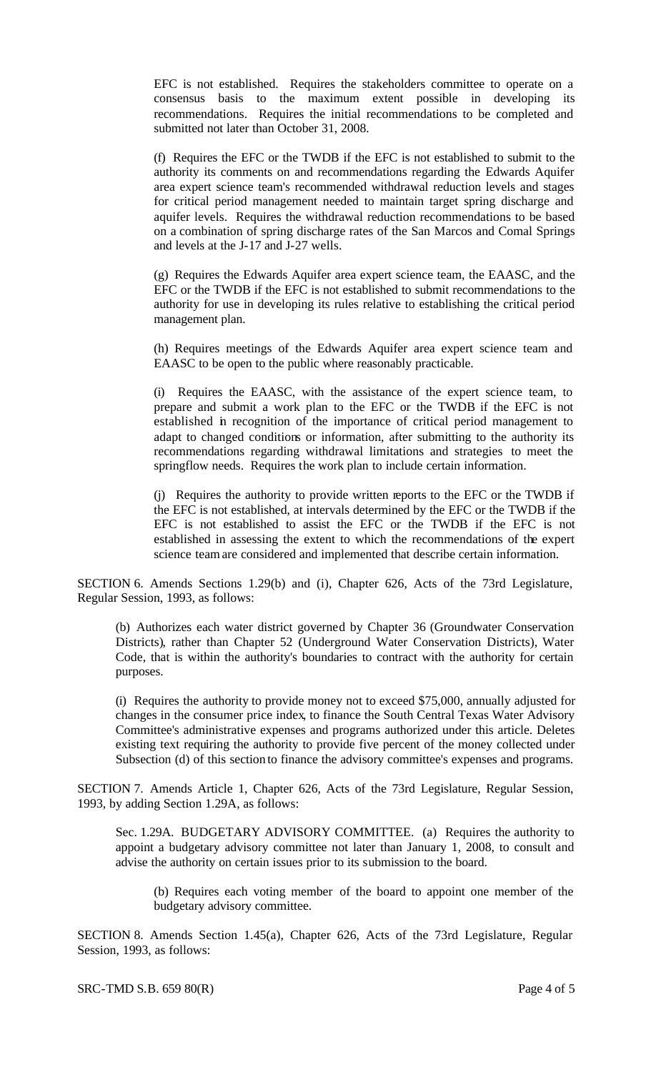EFC is not established. Requires the stakeholders committee to operate on a consensus basis to the maximum extent possible in developing its recommendations. Requires the initial recommendations to be completed and submitted not later than October 31, 2008.

(f) Requires the EFC or the TWDB if the EFC is not established to submit to the authority its comments on and recommendations regarding the Edwards Aquifer area expert science team's recommended withdrawal reduction levels and stages for critical period management needed to maintain target spring discharge and aquifer levels. Requires the withdrawal reduction recommendations to be based on a combination of spring discharge rates of the San Marcos and Comal Springs and levels at the J-17 and J-27 wells.

(g) Requires the Edwards Aquifer area expert science team, the EAASC, and the EFC or the TWDB if the EFC is not established to submit recommendations to the authority for use in developing its rules relative to establishing the critical period management plan.

(h) Requires meetings of the Edwards Aquifer area expert science team and EAASC to be open to the public where reasonably practicable.

(i) Requires the EAASC, with the assistance of the expert science team, to prepare and submit a work plan to the EFC or the TWDB if the EFC is not established in recognition of the importance of critical period management to adapt to changed conditions or information, after submitting to the authority its recommendations regarding withdrawal limitations and strategies to meet the springflow needs. Requires the work plan to include certain information.

(j) Requires the authority to provide written reports to the EFC or the TWDB if the EFC is not established, at intervals determined by the EFC or the TWDB if the EFC is not established to assist the EFC or the TWDB if the EFC is not established in assessing the extent to which the recommendations of the expert science team are considered and implemented that describe certain information.

SECTION 6. Amends Sections 1.29(b) and (i), Chapter 626, Acts of the 73rd Legislature, Regular Session, 1993, as follows:

(b) Authorizes each water district governed by Chapter 36 (Groundwater Conservation Districts), rather than Chapter 52 (Underground Water Conservation Districts), Water Code, that is within the authority's boundaries to contract with the authority for certain purposes.

(i) Requires the authority to provide money not to exceed \$75,000, annually adjusted for changes in the consumer price index, to finance the South Central Texas Water Advisory Committee's administrative expenses and programs authorized under this article. Deletes existing text requiring the authority to provide five percent of the money collected under Subsection (d) of this section to finance the advisory committee's expenses and programs.

SECTION 7. Amends Article 1, Chapter 626, Acts of the 73rd Legislature, Regular Session, 1993, by adding Section 1.29A, as follows:

Sec. 1.29A. BUDGETARY ADVISORY COMMITTEE. (a) Requires the authority to appoint a budgetary advisory committee not later than January 1, 2008, to consult and advise the authority on certain issues prior to its submission to the board.

(b) Requires each voting member of the board to appoint one member of the budgetary advisory committee.

SECTION 8. Amends Section 1.45(a), Chapter 626, Acts of the 73rd Legislature, Regular Session, 1993, as follows: